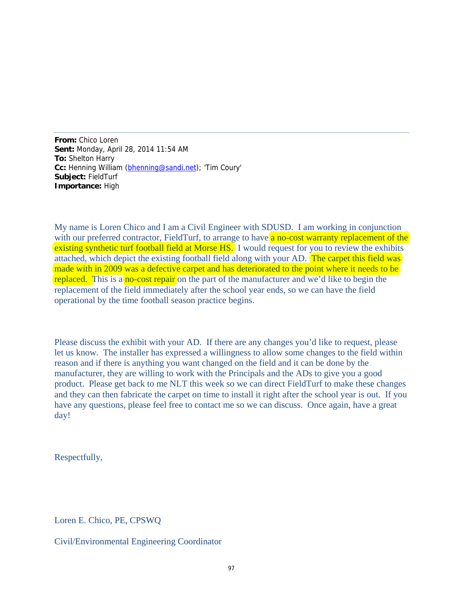**From:** Chico Loren **Sent:** Monday, April 28, 2014 11:54 AM **To:** Shelton Harry **Cc:** Henning William (bhenning@sandi.net); 'Tim Coury' **Subject:** FieldTurf **Importance:** High

My name is Loren Chico and I am a Civil Engineer with SDUSD. I am working in conjunction with our preferred contractor, FieldTurf, to arrange to have a no-cost warranty replacement of the existing synthetic turf football field at Morse HS. I would request for you to review the exhibits attached, which depict the existing football field along with your AD. The carpet this field was made with in 2009 was a defective carpet and has deteriorated to the point where it needs to be replaced. This is a no-cost repair on the part of the manufacturer and we'd like to begin the replacement of the field immediately after the school year ends, so we can have the field operational by the time football season practice begins.

Please discuss the exhibit with your AD. If there are any changes you'd like to request, please let us know. The installer has expressed a willingness to allow some changes to the field within reason and if there is anything you want changed on the field and it can be done by the manufacturer, they are willing to work with the Principals and the ADs to give you a good product. Please get back to me NLT this week so we can direct FieldTurf to make these changes and they can then fabricate the carpet on time to install it right after the school year is out. If you have any questions, please feel free to contact me so we can discuss. Once again, have a great day!

Respectfully,

Loren E. Chico, PE, CPSWQ

Civil/Environmental Engineering Coordinator